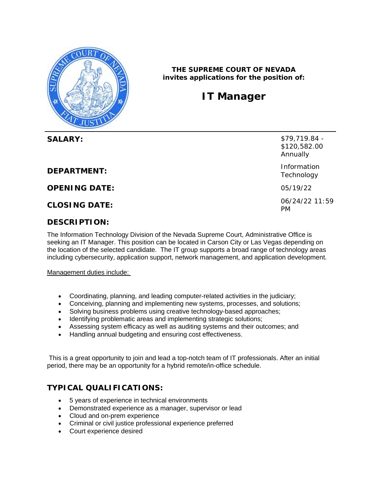

**THE SUPREME COURT OF NEVADA invites applications for the position of:**

## **IT Manager**

**SALARY:**  $$79,719.84$ 

**DEPARTMENT:** Information

**OPENING DATE:** 05/19/22

## **DESCRIPTION:**

The Information Technology Division of the Nevada Supreme Court, Administrative Office is seeking an IT Manager. This position can be located in Carson City or Las Vegas depending on the location of the selected candidate. The IT group supports a broad range of technology areas including cybersecurity, application support, network management, and application development.

Management duties include:

- Coordinating, planning, and leading computer-related activities in the judiciary;
- Conceiving, planning and implementing new systems, processes, and solutions;
- Solving business problems using creative technology-based approaches;
- Identifying problematic areas and implementing strategic solutions;
- Assessing system efficacy as well as auditing systems and their outcomes; and
- Handling annual budgeting and ensuring cost effectiveness.

This is a great opportunity to join and lead a top-notch team of IT professionals. After an initial period, there may be an opportunity for a hybrid remote/in-office schedule.

## **TYPICAL QUALIFICATIONS:**

- 5 years of experience in technical environments
- Demonstrated experience as a manager, supervisor or lead
- Cloud and on-prem experience
- Criminal or civil justice professional experience preferred
- Court experience desired

\$120,582.00 Annually **Technology** 

**CLOSING DATE:** 06/24/22 11:59 PM